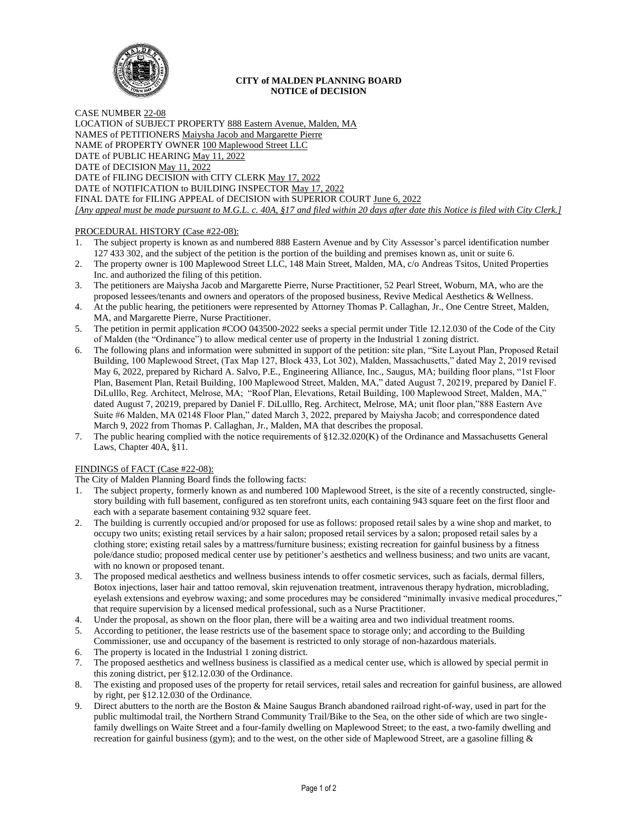

### **CITY of MALDEN PLANNING BOARD NOTICE of DECISION**

CASE NUMBER 22-08 LOCATION of SUBJECT PROPERTY 888 Eastern Avenue, Malden, MA NAMES of PETITIONERS Maiysha Jacob and Margarette Pierre NAME of PROPERTY OWNER 100 Maplewood Street LLC DATE of PUBLIC HEARING May 11, 2022 DATE of DECISION May 11, 2022 DATE of FILING DECISION with CITY CLERK May 17, 2022 DATE of NOTIFICATION to BUILDING INSPECTOR May 17, 2022 FINAL DATE for FILING APPEAL of DECISION with SUPERIOR COURT June 6, 2022 *[Any appeal must be made pursuant to M.G.L. c. 40A, §17 and filed within 20 days after date this Notice is filed with City Clerk.]* 

# PROCEDURAL HISTORY (Case #22-08):

- 1. The subject property is known as and numbered 888 Eastern Avenue and by City Assessor's parcel identification number 127 433 302, and the subject of the petition is the portion of the building and premises known as, unit or suite 6.
- 2. The property owner is 100 Maplewood Street LLC, 148 Main Street, Malden, MA, c/o Andreas Tsitos, United Properties Inc. and authorized the filing of this petition.
- 3. The petitioners are Maiysha Jacob and Margarette Pierre, Nurse Practitioner, 52 Pearl Street, Woburn, MA, who are the proposed lessees/tenants and owners and operators of the proposed business, Revive Medical Aesthetics & Wellness.
- 4. At the public hearing, the petitioners were represented by Attorney Thomas P. Callaghan, Jr., One Centre Street, Malden, MA, and Margarette Pierre, Nurse Practitioner.
- 5. The petition in permit application #COO 043500-2022 seeks a special permit under Title 12.12.030 of the Code of the City of Malden (the "Ordinance") to allow medical center use of property in the Industrial 1 zoning district.
- 6. The following plans and information were submitted in support of the petition: site plan, "Site Layout Plan, Proposed Retail Building, 100 Maplewood Street, (Tax Map 127, Block 433, Lot 302), Malden, Massachusetts," dated May 2, 2019 revised May 6, 2022, prepared by Richard A. Salvo, P.E., Engineering Alliance, Inc., Saugus, MA; building floor plans, "1st Floor Plan, Basement Plan, Retail Building, 100 Maplewood Street, Malden, MA," dated August 7, 20219, prepared by Daniel F. DiLulllo, Reg. Architect, Melrose, MA; "Roof Plan, Elevations, Retail Building, 100 Maplewood Street, Malden, MA," dated August 7, 20219, prepared by Daniel F. DiLulllo, Reg. Architect, Melrose, MA; unit floor plan,"888 Eastern Ave Suite #6 Malden, MA 02148 Floor Plan," dated March 3, 2022, prepared by Maiysha Jacob; and correspondence dated March 9, 2022 from Thomas P. Callaghan, Jr., Malden, MA that describes the proposal.
- 7. The public hearing complied with the notice requirements of §12.32.020(K) of the Ordinance and Massachusetts General Laws, Chapter 40A, §11.

# FINDINGS of FACT (Case #22-08):

The City of Malden Planning Board finds the following facts:

- 1. The subject property, formerly known as and numbered 100 Maplewood Street, is the site of a recently constructed, singlestory building with full basement, configured as ten storefront units, each containing 943 square feet on the first floor and each with a separate basement containing 932 square feet.
- 2. The building is currently occupied and/or proposed for use as follows: proposed retail sales by a wine shop and market, to occupy two units; existing retail services by a hair salon; proposed retail services by a salon; proposed retail sales by a clothing store; existing retail sales by a mattress/furniture business; existing recreation for gainful business by a fitness pole/dance studio; proposed medical center use by petitioner's aesthetics and wellness business; and two units are vacant, with no known or proposed tenant.
- 3. The proposed medical aesthetics and wellness business intends to offer cosmetic services, such as facials, dermal fillers, Botox injections, laser hair and tattoo removal, skin rejuvenation treatment, intravenous therapy hydration, microblading, eyelash extensions and eyebrow waxing; and some procedures may be considered "minimally invasive medical procedures," that require supervision by a licensed medical professional, such as a Nurse Practitioner.
- 4. Under the proposal, as shown on the floor plan, there will be a waiting area and two individual treatment rooms.
- 5. According to petitioner, the lease restricts use of the basement space to storage only; and according to the Building Commissioner, use and occupancy of the basement is restricted to only storage of non-hazardous materials.
- 6. The property is located in the Industrial 1 zoning district.
- The proposed aesthetics and wellness business is classified as a medical center use, which is allowed by special permit in this zoning district, per §12.12.030 of the Ordinance.
- 8. The existing and proposed uses of the property for retail services, retail sales and recreation for gainful business, are allowed by right, per §12.12.030 of the Ordinance.
- 9. Direct abutters to the north are the Boston & Maine Saugus Branch abandoned railroad right-of-way, used in part for the public multimodal trail, the Northern Strand Community Trail/Bike to the Sea, on the other side of which are two singlefamily dwellings on Waite Street and a four-family dwelling on Maplewood Street; to the east, a two-family dwelling and recreation for gainful business (gym); and to the west, on the other side of Maplewood Street, are a gasoline filling &